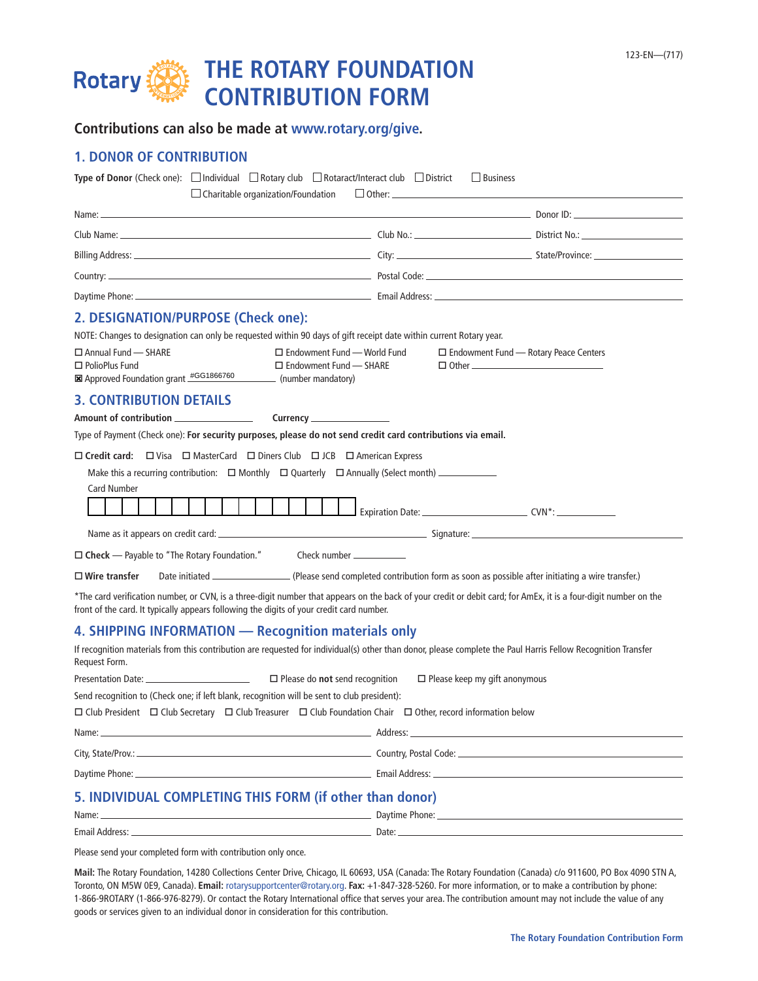# **THE ROTARY FOUNDATION Rotary CONTRIBUTION FORM**

| Contributions can also be made at www.rotary.org/give. |  |  |  |
|--------------------------------------------------------|--|--|--|
|--------------------------------------------------------|--|--|--|

# **1. DONOR OF CONTRIBUTION**

| <b>Type of Donor</b> (Check one): $\Box$ Individual $\Box$ Rotary club $\Box$ Rotaract/Interact club $\Box$ District<br>$\Box$ Charitable organization/Foundation                                                                                            | $\Box$ Business                                                                                                                                                                                                                            |                                         |  |
|--------------------------------------------------------------------------------------------------------------------------------------------------------------------------------------------------------------------------------------------------------------|--------------------------------------------------------------------------------------------------------------------------------------------------------------------------------------------------------------------------------------------|-----------------------------------------|--|
|                                                                                                                                                                                                                                                              |                                                                                                                                                                                                                                            |                                         |  |
|                                                                                                                                                                                                                                                              |                                                                                                                                                                                                                                            |                                         |  |
|                                                                                                                                                                                                                                                              |                                                                                                                                                                                                                                            |                                         |  |
|                                                                                                                                                                                                                                                              |                                                                                                                                                                                                                                            |                                         |  |
|                                                                                                                                                                                                                                                              |                                                                                                                                                                                                                                            |                                         |  |
| 2. DESIGNATION/PURPOSE (Check one):                                                                                                                                                                                                                          |                                                                                                                                                                                                                                            |                                         |  |
| NOTE: Changes to designation can only be requested within 90 days of gift receipt date within current Rotary year.                                                                                                                                           |                                                                                                                                                                                                                                            |                                         |  |
| $\Box$ Annual Fund - SHARE<br>$\Box$ Endowment Fund — World Fund<br>$\Box$ PolioPlus Fund<br>$\Box$ Endowment Fund $\Box$ SHARE<br><b>⊠</b> Approved Foundation grant #GG1866760 (number mandatory)                                                          |                                                                                                                                                                                                                                            | □ Endowment Fund — Rotary Peace Centers |  |
| <b>3. CONTRIBUTION DETAILS</b>                                                                                                                                                                                                                               |                                                                                                                                                                                                                                            |                                         |  |
| Amount of contribution ________________                                                                                                                                                                                                                      |                                                                                                                                                                                                                                            |                                         |  |
| Type of Payment (Check one): For security purposes, please do not send credit card contributions via email.                                                                                                                                                  |                                                                                                                                                                                                                                            |                                         |  |
| $\Box$ Credit card: $\Box$ Visa $\Box$ MasterCard $\Box$ Diners Club $\Box$ JCB $\Box$ American Express                                                                                                                                                      |                                                                                                                                                                                                                                            |                                         |  |
|                                                                                                                                                                                                                                                              |                                                                                                                                                                                                                                            |                                         |  |
| <b>Card Number</b>                                                                                                                                                                                                                                           |                                                                                                                                                                                                                                            |                                         |  |
|                                                                                                                                                                                                                                                              |                                                                                                                                                                                                                                            |                                         |  |
|                                                                                                                                                                                                                                                              |                                                                                                                                                                                                                                            |                                         |  |
| □ Check — Payable to "The Rotary Foundation." Check number ____________                                                                                                                                                                                      |                                                                                                                                                                                                                                            |                                         |  |
| $\Box$ Wire transfer                                                                                                                                                                                                                                         |                                                                                                                                                                                                                                            |                                         |  |
| *The card verification number, or CVN, is a three-digit number that appears on the back of your credit or debit card; for AmEx, it is a four-digit number on the<br>front of the card. It typically appears following the digits of your credit card number. |                                                                                                                                                                                                                                            |                                         |  |
| 4. SHIPPING INFORMATION - Recognition materials only                                                                                                                                                                                                         |                                                                                                                                                                                                                                            |                                         |  |
| If recognition materials from this contribution are requested for individual(s) other than donor, please complete the Paul Harris Fellow Recognition Transfer<br>Request Form.                                                                               |                                                                                                                                                                                                                                            |                                         |  |
| $\square$ Please do not send recognition                                                                                                                                                                                                                     | $\Box$ Please keep my gift anonymous                                                                                                                                                                                                       |                                         |  |
| Send recognition to (Check one; if left blank, recognition will be sent to club president):                                                                                                                                                                  |                                                                                                                                                                                                                                            |                                         |  |
| $\Box$ Club President $\Box$ Club Secretary $\Box$ Club Treasurer $\Box$ Club Foundation Chair $\Box$ Other, record information below                                                                                                                        |                                                                                                                                                                                                                                            |                                         |  |
| Name: _                                                                                                                                                                                                                                                      |                                                                                                                                                                                                                                            |                                         |  |
|                                                                                                                                                                                                                                                              |                                                                                                                                                                                                                                            |                                         |  |
|                                                                                                                                                                                                                                                              |                                                                                                                                                                                                                                            |                                         |  |
| 5. INDIVIDUAL COMPLETING THIS FORM (if other than donor)                                                                                                                                                                                                     |                                                                                                                                                                                                                                            |                                         |  |
| Name: _                                                                                                                                                                                                                                                      | <u><b>Example 2008 Contract Contract Contract Contract Contract Contract Contract Contract Contract Contract Contract Contract Contract Contract Contract Contract Contract Contract Contract Contract Contract Contract Contract </b></u> |                                         |  |
|                                                                                                                                                                                                                                                              |                                                                                                                                                                                                                                            |                                         |  |
| Please send your completed form with contribution only once.                                                                                                                                                                                                 |                                                                                                                                                                                                                                            |                                         |  |

**Mail:** The Rotary Foundation, 14280 Collections Center Drive, Chicago, IL 60693, USA (Canada: The Rotary Foundation (Canada) c/o 911600, PO Box 4090 STN A, Toronto, ON M5W 0E9, Canada). **Email:** ro[tarysupportcenter@rotary.org.](mailto:RotarySupportCenter%40rotary.org?subject=) **Fax:** +1-847-328-5260. For more information, or to make a contribution by phone: 1-866-9ROTARY (1-866-976-8279). Or contact the Rotary International office that serves your area. The contribution amount may not include the value of any goods or services given to an individual donor in consideration for this contribution.